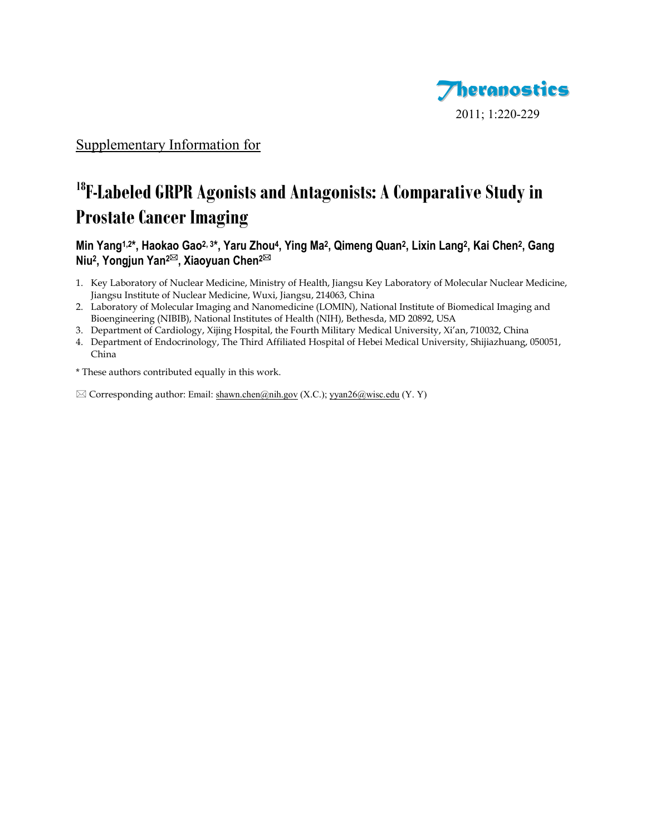

## Supplementary Information for

# <sup>18</sup>**F-Labeled GRPR Agonists and Antagonists: A Comparative Study in Prostate Cancer Imaging**

Min Yang<sup>1,2\*</sup>, Haokao Gao<sup>2, 3\*</sup>, Yaru Zhou<sup>4</sup>, Ying Ma<sup>2</sup>, Qimeng Quan<sup>2</sup>, Lixin Lang<sup>2</sup>, Kai Chen<sup>2</sup>, Gang **Niu<sup>2</sup> , Yongjun Yan2, Xiaoyuan Chen2**

- 1. Key Laboratory of Nuclear Medicine, Ministry of Health, Jiangsu Key Laboratory of Molecular Nuclear Medicine, Jiangsu Institute of Nuclear Medicine, Wuxi, Jiangsu, 214063, China
- 2. Laboratory of Molecular Imaging and Nanomedicine (LOMIN), National Institute of Biomedical Imaging and Bioengineering (NIBIB), National Institutes of Health (NIH), Bethesda, MD 20892, USA
- 3. Department of Cardiology, Xijing Hospital, the Fourth Military Medical University, Xi'an, 710032, China
- 4. Department of Endocrinology, The Third Affiliated Hospital of Hebei Medical University, Shijiazhuang, 050051, China

\* These authors contributed equally in this work.

 $\boxtimes$  Corresponding author: Email[: shawn.chen@nih.gov](mailto:shawn.chen@nih.gov) (X.C.)[; yyan26@wisc.edu](mailto:yyan26@wisc.edu) (Y.Y)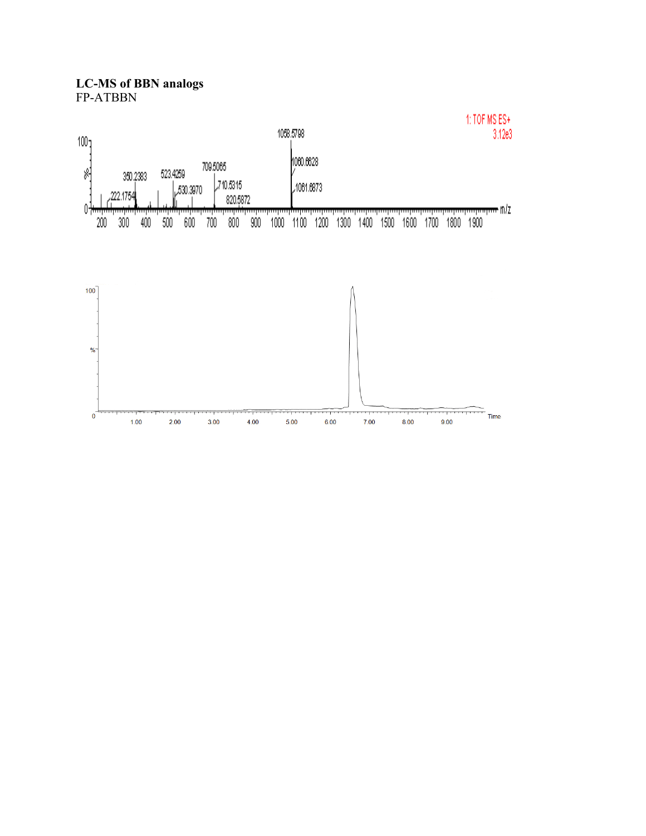**LC-MS of BBN analogs** FP-ATBBN

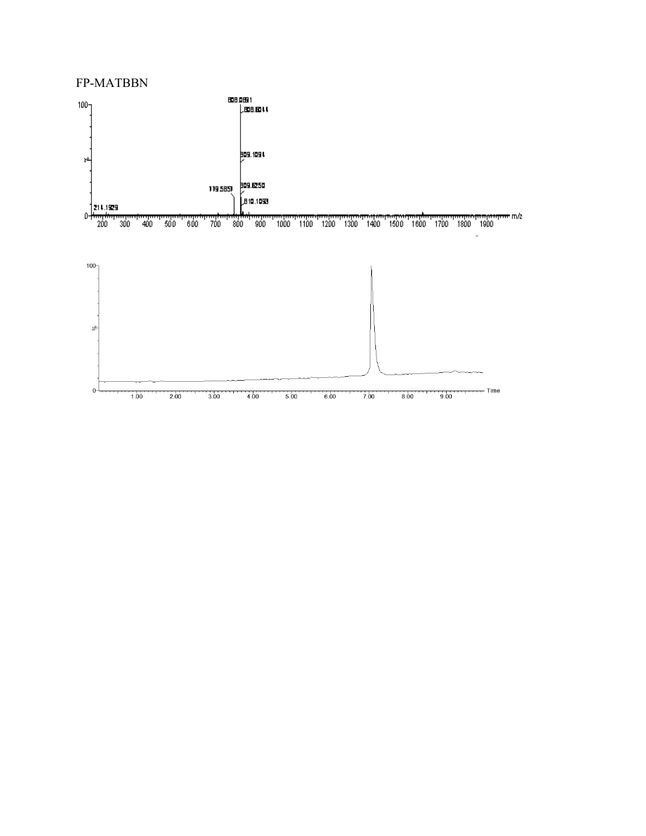#### FP-MATBBN



 $\overline{2.00}$  $3.00$  4.00  $6.00$  $7.00$  $8.00$ بتلب  $5.00$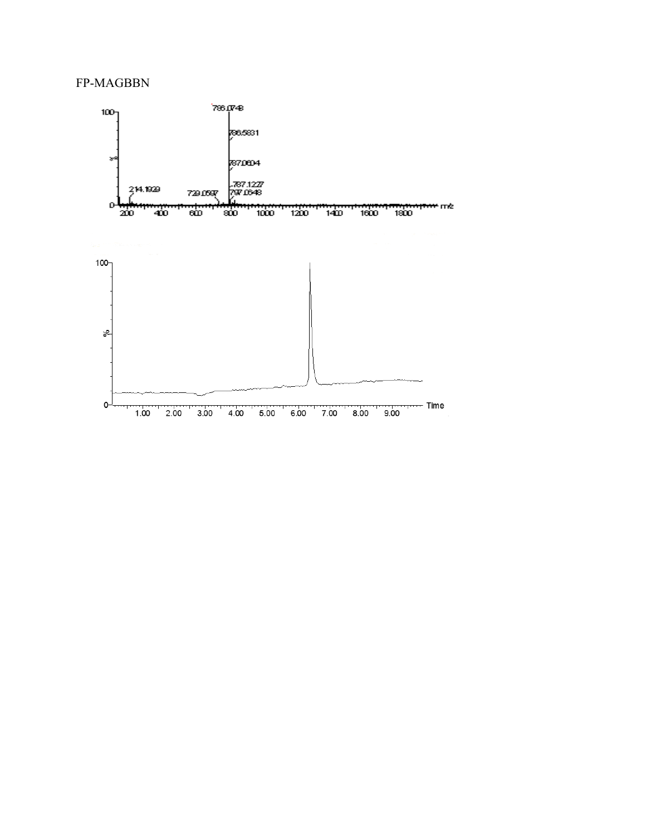### FP-MAGBBN

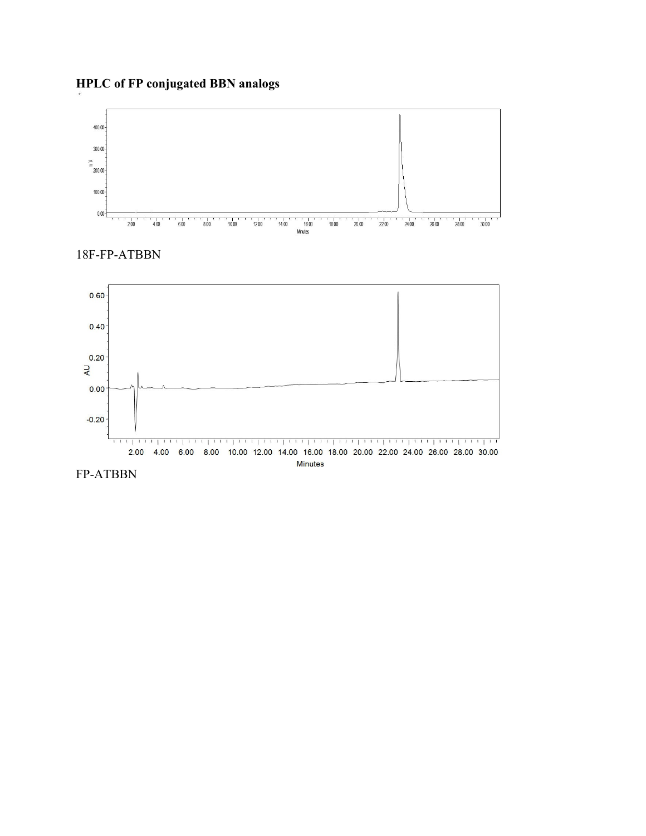## **HPLC of FP conjugated BBN analogs**







FP-ATBBN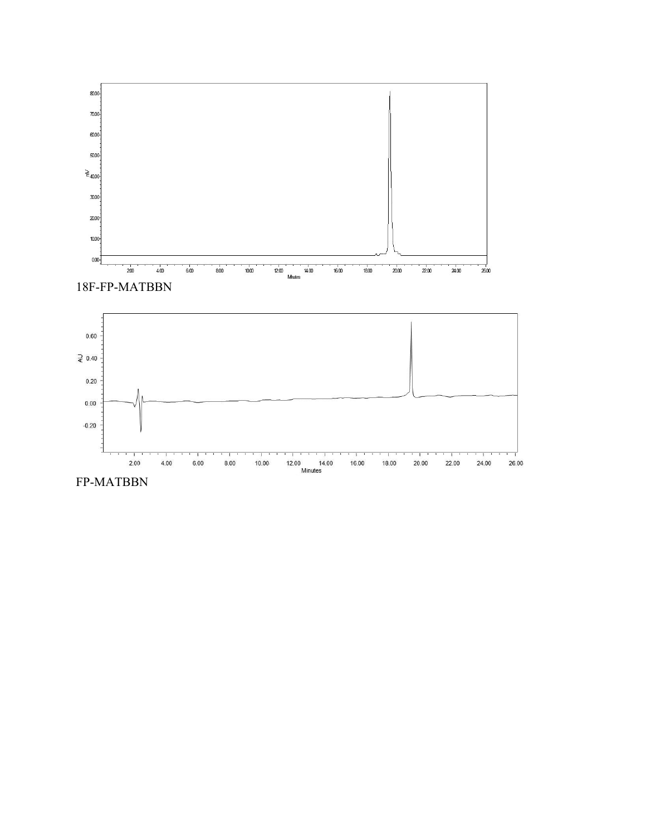



FP-MATBBN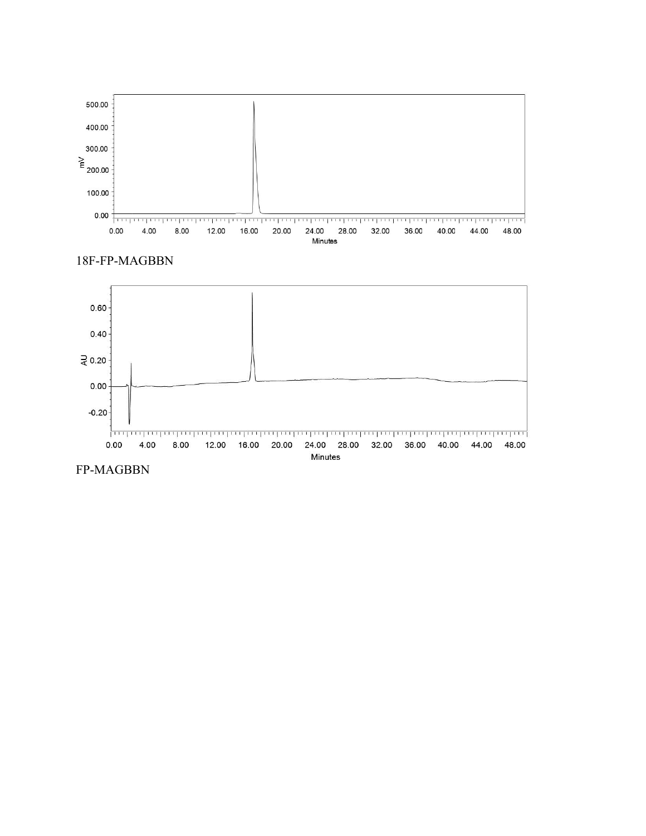





FP-MAGBBN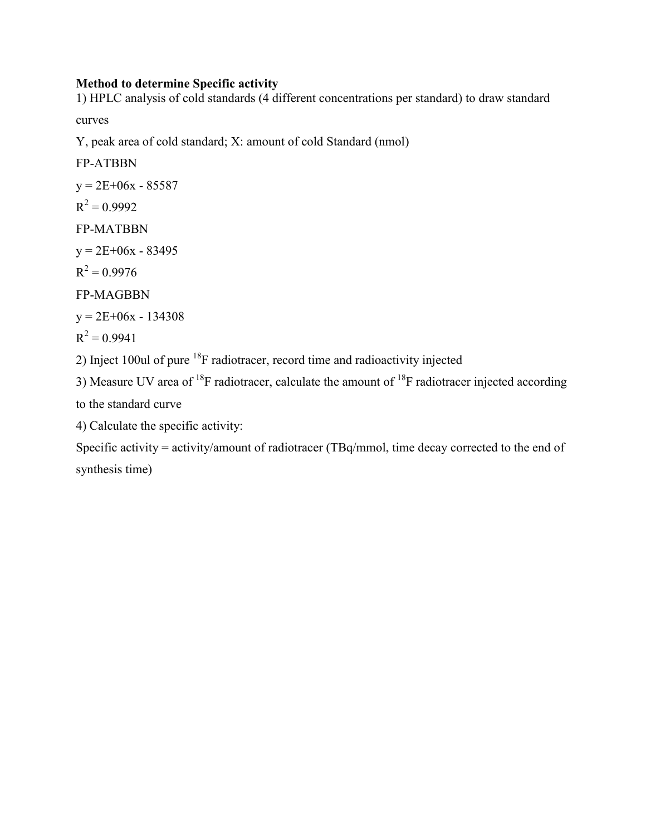## **Method to determine Specific activity**

1) HPLC analysis of cold standards (4 different concentrations per standard) to draw standard

curves

Y, peak area of cold standard; X: amount of cold Standard (nmol)

FP-ATBBN  $y = 2E+06x - 85587$  $R^2 = 0.9992$ FP-MATBBN  $y = 2E+06x - 83495$  $R^2 = 0.9976$ FP-MAGBBN  $y = 2E+06x - 134308$  $R^2 = 0.9941$ 

2) Inject 100ul of pure <sup>18</sup>F radiotracer, record time and radioactivity injected

3) Measure UV area of <sup>18</sup>F radiotracer, calculate the amount of <sup>18</sup>F radiotracer injected according to the standard curve

4) Calculate the specific activity:

Specific activity = activity/amount of radiotracer (TBq/mmol, time decay corrected to the end of synthesis time)